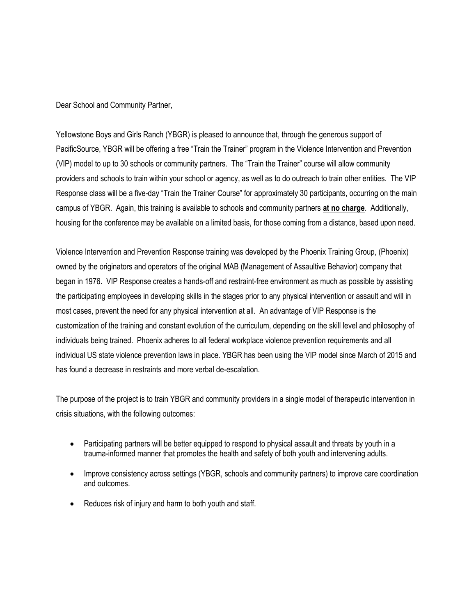Dear School and Community Partner,

Yellowstone Boys and Girls Ranch (YBGR) is pleased to announce that, through the generous support of PacificSource, YBGR will be offering a free "Train the Trainer" program in the Violence Intervention and Prevention (VIP) model to up to 30 schools or community partners. The "Train the Trainer" course will allow community providers and schools to train within your school or agency, as well as to do outreach to train other entities. The VIP Response class will be a five-day "Train the Trainer Course" for approximately 30 participants, occurring on the main campus of YBGR. Again, this training is available to schools and community partners **at no charge**. Additionally, housing for the conference may be available on a limited basis, for those coming from a distance, based upon need.

Violence Intervention and Prevention Response training was developed by the Phoenix Training Group, (Phoenix) owned by the originators and operators of the original MAB (Management of Assaultive Behavior) company that began in 1976. VIP Response creates a hands-off and restraint-free environment as much as possible by assisting the participating employees in developing skills in the stages prior to any physical intervention or assault and will in most cases, prevent the need for any physical intervention at all. An advantage of VIP Response is the customization of the training and constant evolution of the curriculum, depending on the skill level and philosophy of individuals being trained. Phoenix adheres to all federal workplace violence prevention requirements and all individual US state violence prevention laws in place. YBGR has been using the VIP model since March of 2015 and has found a decrease in restraints and more verbal de-escalation.

The purpose of the project is to train YBGR and community providers in a single model of therapeutic intervention in crisis situations, with the following outcomes:

- Participating partners will be better equipped to respond to physical assault and threats by youth in a trauma-informed manner that promotes the health and safety of both youth and intervening adults.
- Improve consistency across settings (YBGR, schools and community partners) to improve care coordination and outcomes.
- Reduces risk of injury and harm to both youth and staff.